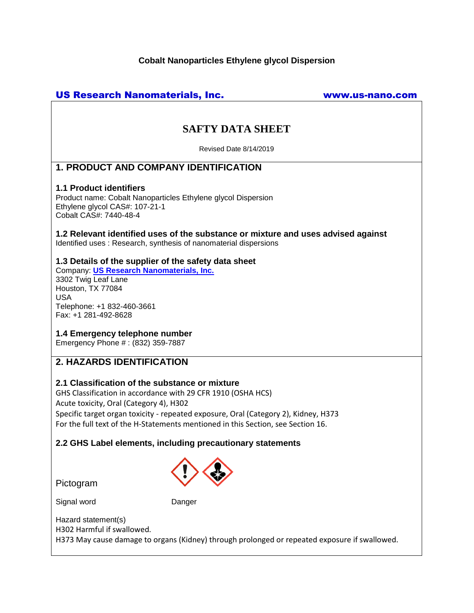## **Cobalt Nanoparticles Ethylene glycol Dispersion**

## US Research Nanomaterials, Inc. www.us-nano.com

# **SAFTY DATA SHEET**

Revised Date 8/14/2019

## **1. PRODUCT AND COMPANY IDENTIFICATION**

#### **1.1 Product identifiers**

Product name: Cobalt Nanoparticles Ethylene glycol Dispersion Ethylene glycol CAS#: 107-21-1 Cobalt CAS#: 7440-48-4

**1.2 Relevant identified uses of the substance or mixture and uses advised against** Identified uses : Research, synthesis of nanomaterial dispersions

#### **1.3 Details of the supplier of the safety data sheet**

Company: **[US Research Nanomaterials, Inc.](http://www.us-nano.com/)** 3302 Twig Leaf Lane Houston, TX 77084 USA Telephone: +1 832-460-3661 Fax: +1 281-492-8628

## **1.4 Emergency telephone number**

Emergency Phone # : (832) 359-7887

## **2. HAZARDS IDENTIFICATION**

## **2.1 Classification of the substance or mixture**

GHS Classification in accordance with 29 CFR 1910 (OSHA HCS) Acute toxicity, Oral (Category 4), H302 Specific target organ toxicity - repeated exposure, Oral (Category 2), Kidney, H373 For the full text of the H-Statements mentioned in this Section, see Section 16.

## **2.2 GHS Label elements, including precautionary statements**



Pictogram

Signal word Danger

Hazard statement(s) H302 Harmful if swallowed. H373 May cause damage to organs (Kidney) through prolonged or repeated exposure if swallowed.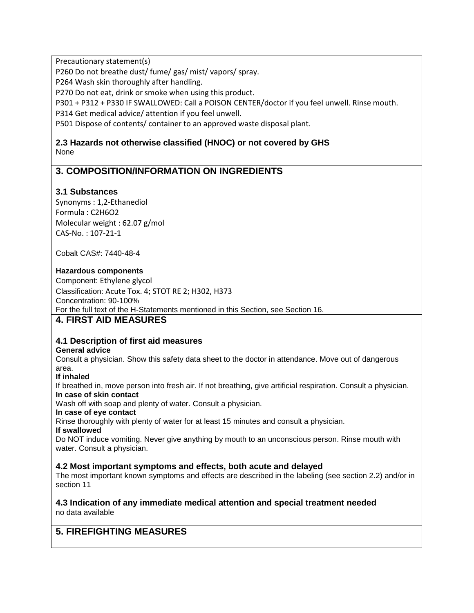Precautionary statement(s)

P260 Do not breathe dust/ fume/ gas/ mist/ vapors/ spray.

P264 Wash skin thoroughly after handling.

P270 Do not eat, drink or smoke when using this product.

P301 + P312 + P330 IF SWALLOWED: Call a POISON CENTER/doctor if you feel unwell. Rinse mouth.

P314 Get medical advice/ attention if you feel unwell.

P501 Dispose of contents/ container to an approved waste disposal plant.

## **2.3 Hazards not otherwise classified (HNOC) or not covered by GHS** None

## **3. COMPOSITION/INFORMATION ON INGREDIENTS**

## **3.1 Substances**

Synonyms : 1,2-Ethanediol Formula : C2H6O2 Molecular weight : 62.07 g/mol CAS-No. : 107-21-1

Cobalt CAS#: 7440-48-4

## **Hazardous components**

Component: Ethylene glycol Classification: Acute Tox. 4; STOT RE 2; H302, H373 Concentration: 90-100% For the full text of the H-Statements mentioned in this Section, see Section 16.

## **4. FIRST AID MEASURES**

## **4.1 Description of first aid measures**

## **General advice**

Consult a physician. Show this safety data sheet to the doctor in attendance. Move out of dangerous area.

**If inhaled**

If breathed in, move person into fresh air. If not breathing, give artificial respiration. Consult a physician. **In case of skin contact**

Wash off with soap and plenty of water. Consult a physician.

**In case of eye contact**

Rinse thoroughly with plenty of water for at least 15 minutes and consult a physician.

**If swallowed**

Do NOT induce vomiting. Never give anything by mouth to an unconscious person. Rinse mouth with water. Consult a physician.

## **4.2 Most important symptoms and effects, both acute and delayed**

The most important known symptoms and effects are described in the labeling (see section 2.2) and/or in section 11

#### **4.3 Indication of any immediate medical attention and special treatment needed** no data available

## **5. FIREFIGHTING MEASURES**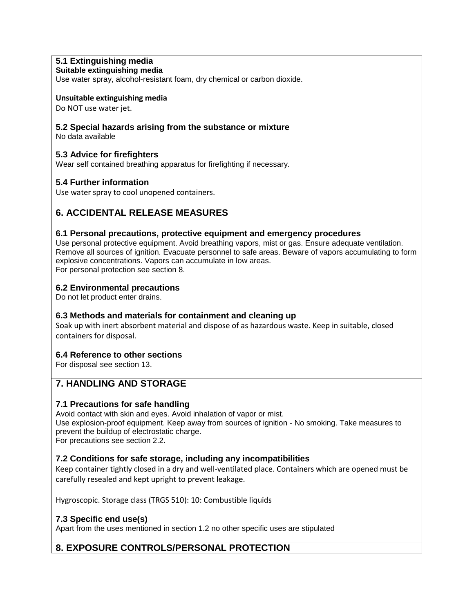## **5.1 Extinguishing media**

#### **Suitable extinguishing media**

Use water spray, alcohol-resistant foam, dry chemical or carbon dioxide.

#### **Unsuitable extinguishing media**

Do NOT use water jet.

#### **5.2 Special hazards arising from the substance or mixture**

No data available

#### **5.3 Advice for firefighters**

Wear self contained breathing apparatus for firefighting if necessary.

#### **5.4 Further information**

Use water spray to cool unopened containers.

## **6. ACCIDENTAL RELEASE MEASURES**

#### **6.1 Personal precautions, protective equipment and emergency procedures**

Use personal protective equipment. Avoid breathing vapors, mist or gas. Ensure adequate ventilation. Remove all sources of ignition. Evacuate personnel to safe areas. Beware of vapors accumulating to form explosive concentrations. Vapors can accumulate in low areas. For personal protection see section 8.

#### **6.2 Environmental precautions**

Do not let product enter drains.

## **6.3 Methods and materials for containment and cleaning up**

Soak up with inert absorbent material and dispose of as hazardous waste. Keep in suitable, closed containers for disposal.

#### **6.4 Reference to other sections**

For disposal see section 13.

## **7. HANDLING AND STORAGE**

#### **7.1 Precautions for safe handling**

Avoid contact with skin and eyes. Avoid inhalation of vapor or mist. Use explosion-proof equipment. Keep away from sources of ignition - No smoking. Take measures to prevent the buildup of electrostatic charge.

For precautions see section 2.2.

## **7.2 Conditions for safe storage, including any incompatibilities**

Keep container tightly closed in a dry and well-ventilated place. Containers which are opened must be carefully resealed and kept upright to prevent leakage.

Hygroscopic. Storage class (TRGS 510): 10: Combustible liquids

## **7.3 Specific end use(s)**

Apart from the uses mentioned in section 1.2 no other specific uses are stipulated

## **8. EXPOSURE CONTROLS/PERSONAL PROTECTION**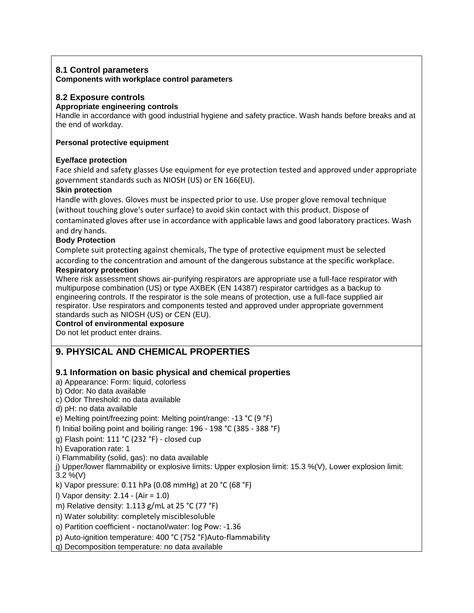## **8.1 Control parameters Components with workplace control parameters**

## **8.2 Exposure controls**

## **Appropriate engineering controls**

Handle in accordance with good industrial hygiene and safety practice. Wash hands before breaks and at the end of workday.

### **Personal protective equipment**

## **Eye/face protection**

Face shield and safety glasses Use equipment for eye protection tested and approved under appropriate government standards such as NIOSH (US) or EN 166(EU).

## **Skin protection**

Handle with gloves. Gloves must be inspected prior to use. Use proper glove removal technique (without touching glove's outer surface) to avoid skin contact with this product. Dispose of contaminated gloves after use in accordance with applicable laws and good laboratory practices. Wash and dry hands.

#### **Body Protection**

Complete suit protecting against chemicals, The type of protective equipment must be selected according to the concentration and amount of the dangerous substance at the specific workplace.

#### **Respiratory protection**

Where risk assessment shows air-purifying respirators are appropriate use a full-face respirator with multipurpose combination (US) or type AXBEK (EN 14387) respirator cartridges as a backup to engineering controls. If the respirator is the sole means of protection, use a full-face supplied air respirator. Use respirators and components tested and approved under appropriate government standards such as NIOSH (US) or CEN (EU).

#### **Control of environmental exposure**

Do not let product enter drains.

## **9. PHYSICAL AND CHEMICAL PROPERTIES**

## **9.1 Information on basic physical and chemical properties**

a) Appearance: Form: liquid, colorless

b) Odor: No data available

c) Odor Threshold: no data available

d) pH: no data available

e) Melting point/freezing point: Melting point/range: -13 °C (9 °F)

f) Initial boiling point and boiling range: 196 - 198 °C (385 - 388 °F)

g) Flash point: 111 °C (232 °F) - closed cup

h) Evaporation rate: 1

i) Flammability (solid, gas): no data available

j) Upper/lower flammability or explosive limits: Upper explosion limit: 15.3 %(V), Lower explosion limit:  $3.2 \%$  (V)

k) Vapor pressure: 0.11 hPa (0.08 mmHg) at 20 °C (68 °F)

l) Vapor density: 2.14 - (Air = 1.0)

m) Relative density: 1.113 g/mL at 25 °C (77 °F)

n) Water solubility: completely misciblesoluble

o) Partition coefficient - noctanol/water: log Pow: -1.36

p) Auto-ignition temperature: 400 °C (752 °F)Auto-flammability

q) Decomposition temperature: no data available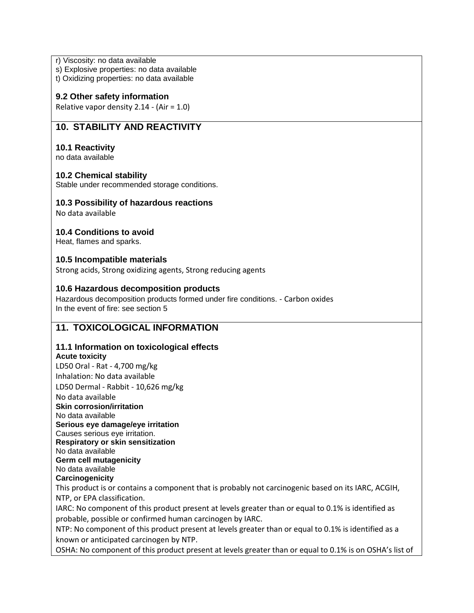r) Viscosity: no data available

s) Explosive properties: no data available

t) Oxidizing properties: no data available

#### **9.2 Other safety information**

Relative vapor density 2.14 - (Air = 1.0)

## **10. STABILITY AND REACTIVITY**

#### **10.1 Reactivity**

no data available

#### **10.2 Chemical stability**

Stable under recommended storage conditions.

#### **10.3 Possibility of hazardous reactions**

No data available

#### **10.4 Conditions to avoid**

Heat, flames and sparks.

#### **10.5 Incompatible materials**

Strong acids, Strong oxidizing agents, Strong reducing agents

#### **10.6 Hazardous decomposition products**

Hazardous decomposition products formed under fire conditions. - Carbon oxides In the event of fire: see section 5

## **11. TOXICOLOGICAL INFORMATION**

## **11.1 Information on toxicological effects**

#### **Acute toxicity**

LD50 Oral - Rat - 4,700 mg/kg Inhalation: No data available LD50 Dermal - Rabbit - 10,626 mg/kg No data available

**Skin corrosion/irritation** No data available

**Serious eye damage/eye irritation**

Causes serious eye irritation.

**Respiratory or skin sensitization**

No data available **Germ cell mutagenicity**

No data available

**Carcinogenicity**

This product is or contains a component that is probably not carcinogenic based on its IARC, ACGIH, NTP, or EPA classification.

IARC: No component of this product present at levels greater than or equal to 0.1% is identified as probable, possible or confirmed human carcinogen by IARC.

NTP: No component of this product present at levels greater than or equal to 0.1% is identified as a known or anticipated carcinogen by NTP.

OSHA: No component of this product present at levels greater than or equal to 0.1% is on OSHA's list of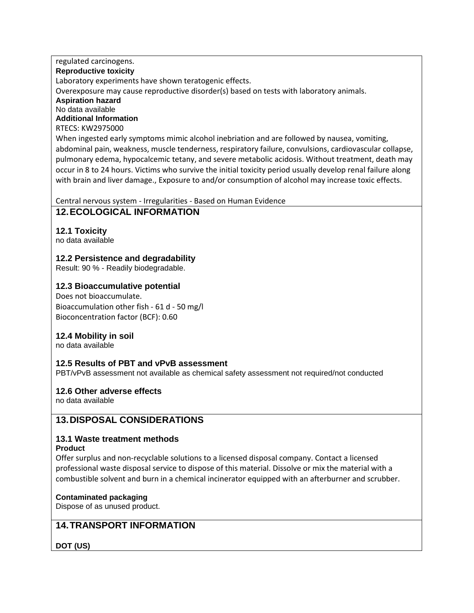## regulated carcinogens.

#### **Reproductive toxicity**

Laboratory experiments have shown teratogenic effects.

Overexposure may cause reproductive disorder(s) based on tests with laboratory animals.

**Aspiration hazard** No data available **Additional Information**

RTECS: KW2975000

When ingested early symptoms mimic alcohol inebriation and are followed by nausea, vomiting, abdominal pain, weakness, muscle tenderness, respiratory failure, convulsions, cardiovascular collapse, pulmonary edema, hypocalcemic tetany, and severe metabolic acidosis. Without treatment, death may occur in 8 to 24 hours. Victims who survive the initial toxicity period usually develop renal failure along with brain and liver damage., Exposure to and/or consumption of alcohol may increase toxic effects.

Central nervous system - Irregularities - Based on Human Evidence

## **12.ECOLOGICAL INFORMATION**

## **12.1 Toxicity**

no data available

## **12.2 Persistence and degradability**

Result: 90 % - Readily biodegradable.

## **12.3 Bioaccumulative potential**

Does not bioaccumulate. Bioaccumulation other fish - 61 d - 50 mg/l Bioconcentration factor (BCF): 0.60

## **12.4 Mobility in soil**

no data available

## **12.5 Results of PBT and vPvB assessment**

PBT/vPvB assessment not available as chemical safety assessment not required/not conducted

## **12.6 Other adverse effects**

no data available

## **13.DISPOSAL CONSIDERATIONS**

# **13.1 Waste treatment methods**

#### **Product**

Offer surplus and non-recyclable solutions to a licensed disposal company. Contact a licensed professional waste disposal service to dispose of this material. Dissolve or mix the material with a combustible solvent and burn in a chemical incinerator equipped with an afterburner and scrubber.

## **Contaminated packaging**

Dispose of as unused product.

## **14.TRANSPORT INFORMATION**

## **DOT (US)**